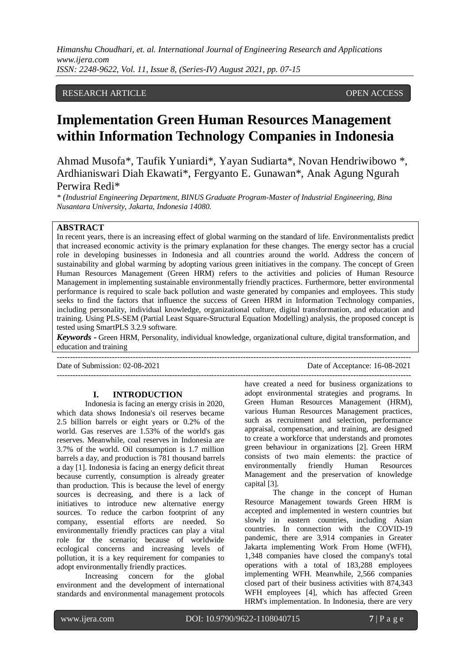## RESEARCH ARTICLE **CONSERVERS** OPEN ACCESS

# **Implementation Green Human Resources Management within Information Technology Companies in Indonesia**

Ahmad Musofa\*, Taufik Yuniardi\*, Yayan Sudiarta\*, Novan Hendriwibowo \*, Ardhianiswari Diah Ekawati\*, Fergyanto E. Gunawan\*, Anak Agung Ngurah Perwira Redi\*

*\* (Industrial Engineering Department, BINUS Graduate Program-Master of Industrial Engineering, Bina Nusantara University, Jakarta, Indonesia 14080.*

#### **ABSTRACT**

In recent years, there is an increasing effect of global warming on the standard of life. Environmentalists predict that increased economic activity is the primary explanation for these changes. The energy sector has a crucial role in developing businesses in Indonesia and all countries around the world. Address the concern of sustainability and global warming by adopting various green initiatives in the company. The concept of Green Human Resources Management (Green HRM) refers to the activities and policies of Human Resource Management in implementing sustainable environmentally friendly practices. Furthermore, better environmental performance is required to scale back pollution and waste generated by companies and employees. This study seeks to find the factors that influence the success of Green HRM in Information Technology companies, including personality, individual knowledge, organizational culture, digital transformation, and education and training. Using PLS-SEM (Partial Least Square-Structural Equation Modelling) analysis, the proposed concept is tested using SmartPLS 3.2.9 software.

*Keywords* **-** Green HRM, Personality, individual knowledge, organizational culture, digital transformation, and education and training ---------------------------------------------------------------------------------------------------------------------------------------

---------------------------------------------------------------------------------------------------------------------------------------

Date of Submission: 02-08-2021 Date of Acceptance: 16-08-2021

## **I. INTRODUCTION**

Indonesia is facing an energy crisis in 2020, which data shows Indonesia's oil reserves became 2.5 billion barrels or eight years or 0.2% of the world. Gas reserves are 1.53% of the world's gas reserves. Meanwhile, coal reserves in Indonesia are 3.7% of the world. Oil consumption is 1.7 million barrels a day, and production is 781 thousand barrels a day [1]. Indonesia is facing an energy deficit threat because currently, consumption is already greater than production. This is because the level of energy sources is decreasing, and there is a lack of initiatives to introduce new alternative energy sources. To reduce the carbon footprint of any company, essential efforts are needed. So environmentally friendly practices can play a vital role for the scenario; because of worldwide ecological concerns and increasing levels of pollution, it is a key requirement for companies to adopt environmentally friendly practices.

Increasing concern for the global environment and the development of international standards and environmental management protocols

have created a need for business organizations to adopt environmental strategies and programs. In Green Human Resources Management (HRM), various Human Resources Management practices, such as recruitment and selection, performance appraisal, compensation, and training, are designed to create a workforce that understands and promotes green behaviour in organizations [2]. Green HRM consists of two main elements: the practice of<br>environmentally friendly Human Resources environmentally friendly Human Management and the preservation of knowledge capital [3].

The change in the concept of Human Resource Management towards Green HRM is accepted and implemented in western countries but slowly in eastern countries, including Asian countries. In connection with the COVID-19 pandemic, there are 3,914 companies in Greater Jakarta implementing Work From Home (WFH), 1,348 companies have closed the company's total operations with a total of 183,288 employees implementing WFH. Meanwhile, 2,566 companies closed part of their business activities with 874,343 WFH employees [4], which has affected Green HRM's implementation. In Indonesia, there are very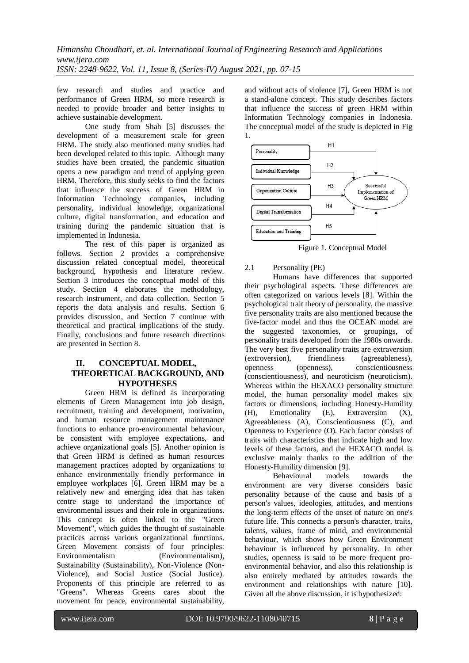few research and studies and practice and performance of Green HRM, so more research is needed to provide broader and better insights to achieve sustainable development.

One study from Shah [5] discusses the development of a measurement scale for green HRM. The study also mentioned many studies had been developed related to this topic. Although many studies have been created, the pandemic situation opens a new paradigm and trend of applying green HRM. Therefore, this study seeks to find the factors that influence the success of Green HRM in Information Technology companies, including personality, individual knowledge, organizational culture, digital transformation, and education and training during the pandemic situation that is implemented in Indonesia.

The rest of this paper is organized as follows. Section 2 provides a comprehensive discussion related conceptual model, theoretical background, hypothesis and literature review. Section 3 introduces the conceptual model of this study. Section 4 elaborates the methodology, research instrument, and data collection. Section 5 reports the data analysis and results. Section 6 provides discussion, and Section 7 continue with theoretical and practical implications of the study. Finally, conclusions and future research directions are presented in Section 8.

# **II. CONCEPTUAL MODEL, THEORETICAL BACKGROUND, AND HYPOTHESES**

Green HRM is defined as incorporating elements of Green Management into job design, recruitment, training and development, motivation, and human resource management maintenance functions to enhance pro-environmental behaviour, be consistent with employee expectations, and achieve organizational goals [5]. Another opinion is that Green HRM is defined as human resources management practices adopted by organizations to enhance environmentally friendly performance in employee workplaces [6]. Green HRM may be a relatively new and emerging idea that has taken centre stage to understand the importance of environmental issues and their role in organizations. This concept is often linked to the "Green Movement", which guides the thought of sustainable practices across various organizational functions. Green Movement consists of four principles: Environmentalism (Environmentalism), Sustainability (Sustainability), Non-Violence (Non-Violence), and Social Justice (Social Justice). Proponents of this principle are referred to as "Greens". Whereas Greens cares about the movement for peace, environmental sustainability,

and without acts of violence [7], Green HRM is not a stand-alone concept. This study describes factors that influence the success of green HRM within Information Technology companies in Indonesia. The conceptual model of the study is depicted in Fig 1.



Figure 1. Conceptual Model

# 2.1 Personality (PE)

Humans have differences that supported their psychological aspects. These differences are often categorized on various levels [8]. Within the psychological trait theory of personality, the massive five personality traits are also mentioned because the five-factor model and thus the OCEAN model are the suggested taxonomies, or groupings, of personality traits developed from the 1980s onwards. The very best five personality traits are extraversion (extroversion), friendliness (agreeableness), openness (openness), conscientiousness (conscientiousness), and neuroticism (neuroticism). Whereas within the HEXACO personality structure model, the human personality model makes six factors or dimensions, including Honesty-Humility (H), Emotionality (E), Extraversion (X), Agreeableness (A), Conscientiousness (C), and Openness to Experience (O). Each factor consists of traits with characteristics that indicate high and low levels of these factors, and the HEXACO model is exclusive mainly thanks to the addition of the Honesty-Humility dimension [9].

Behavioural models towards the environment are very diverse considers basic personality because of the cause and basis of a person's values, ideologies, attitudes, and mentions the long-term effects of the onset of nature on one's future life. This connects a person's character, traits, talents, values, frame of mind, and environmental behaviour, which shows how Green Environment behaviour is influenced by personality. In other studies, openness is said to be more frequent proenvironmental behavior, and also this relationship is also entirely mediated by attitudes towards the environment and relationships with nature [10]. Given all the above discussion, it is hypothesized: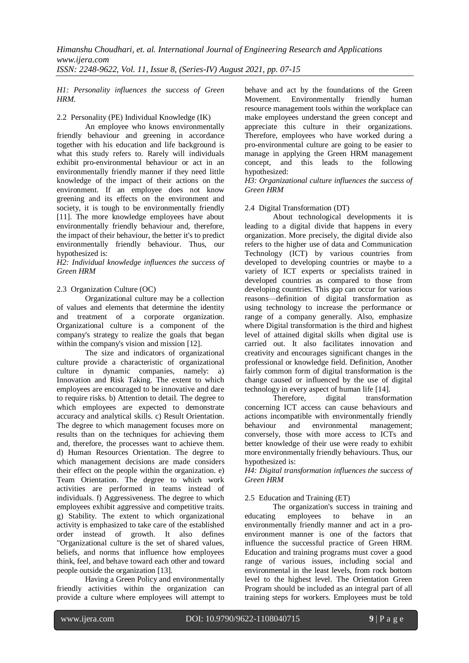#### *H1: Personality influences the success of Green HRM.*

2.2 Personality (PE) Individual Knowledge (IK)

An employee who knows environmentally friendly behaviour and greening in accordance together with his education and life background is what this study refers to. Rarely will individuals exhibit pro-environmental behaviour or act in an environmentally friendly manner if they need little knowledge of the impact of their actions on the environment. If an employee does not know greening and its effects on the environment and society, it is tough to be environmentally friendly [11]. The more knowledge employees have about environmentally friendly behaviour and, therefore, the impact of their behaviour, the better it's to predict environmentally friendly behaviour. Thus, our hypothesized is:

*H2: Individual knowledge influences the success of Green HRM*

# 2.3 Organization Culture (OC)

Organizational culture may be a collection of values and elements that determine the identity and treatment of a corporate organization. Organizational culture is a component of the company's strategy to realize the goals that began within the company's vision and mission [12].

The size and indicators of organizational culture provide a characteristic of organizational culture in dynamic companies, namely: a) Innovation and Risk Taking. The extent to which employees are encouraged to be innovative and dare to require risks. b) Attention to detail. The degree to which employees are expected to demonstrate accuracy and analytical skills. c) Result Orientation. The degree to which management focuses more on results than on the techniques for achieving them and, therefore, the processes want to achieve them. d) Human Resources Orientation. The degree to which management decisions are made considers their effect on the people within the organization. e) Team Orientation. The degree to which work activities are performed in teams instead of individuals. f) Aggressiveness. The degree to which employees exhibit aggressive and competitive traits. g) Stability. The extent to which organizational activity is emphasized to take care of the established order instead of growth. It also defines "Organizational culture is the set of shared values, beliefs, and norms that influence how employees think, feel, and behave toward each other and toward people outside the organization [13].

Having a Green Policy and environmentally friendly activities within the organization can provide a culture where employees will attempt to

behave and act by the foundations of the Green Movement. Environmentally friendly human resource management tools within the workplace can make employees understand the green concept and appreciate this culture in their organizations. Therefore, employees who have worked during a pro-environmental culture are going to be easier to manage in applying the Green HRM management concept, and this leads to the following hypothesized:

*H3: Organizational culture influences the success of Green HRM*

# 2.4 Digital Transformation (DT)

About technological developments it is leading to a digital divide that happens in every organization. More precisely, the digital divide also refers to the higher use of data and Communication Technology (ICT) by various countries from developed to developing countries or maybe to a variety of ICT experts or specialists trained in developed countries as compared to those from developing countries. This gap can occur for various reasons—definition of digital transformation as using technology to increase the performance or range of a company generally. Also, emphasize where Digital transformation is the third and highest level of attained digital skills when digital use is carried out. It also facilitates innovation and creativity and encourages significant changes in the professional or knowledge field. Definition, Another fairly common form of digital transformation is the change caused or influenced by the use of digital technology in every aspect of human life [14].

Therefore, digital transformation concerning ICT access can cause behaviours and actions incompatible with environmentally friendly behaviour and environmental management; conversely, those with more access to ICTs and better knowledge of their use were ready to exhibit more environmentally friendly behaviours. Thus, our hypothesized is:

*H4: Digital transformation influences the success of Green HRM*

# 2.5 Education and Training (ET)

The organization's success in training and educating employees to behave in an environmentally friendly manner and act in a proenvironment manner is one of the factors that influence the successful practice of Green HRM. Education and training programs must cover a good range of various issues, including social and environmental in the least levels, from rock bottom level to the highest level. The Orientation Green Program should be included as an integral part of all training steps for workers. Employees must be told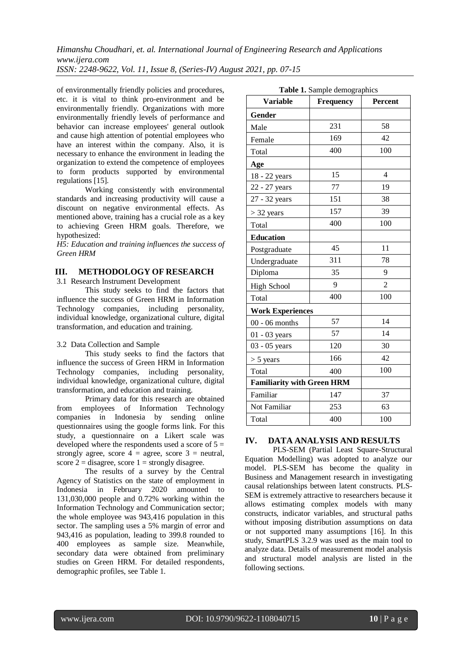of environmentally friendly policies and procedures, etc. it is vital to think pro-environment and be environmentally friendly. Organizations with more environmentally friendly levels of performance and behavior can increase employees' general outlook and cause high attention of potential employees who have an interest within the company. Also, it is necessary to enhance the environment in leading the organization to extend the competence of employees to form products supported by environmental regulations [15].

Working consistently with environmental standards and increasing productivity will cause a discount on negative environmental effects. As mentioned above, training has a crucial role as a key to achieving Green HRM goals. Therefore, we hypothesized:

*H5: Education and training influences the success of Green HRM*

## **III. METHODOLOGY OF RESEARCH**

3.1 Research Instrument Development

This study seeks to find the factors that influence the success of Green HRM in Information Technology companies, including personality, individual knowledge, organizational culture, digital transformation, and education and training.

#### 3.2 Data Collection and Sample

This study seeks to find the factors that influence the success of Green HRM in Information Technology companies, including personality, individual knowledge, organizational culture, digital transformation, and education and training.

Primary data for this research are obtained from employees of Information Technology companies in Indonesia by sending online questionnaires using the google forms link. For this study, a questionnaire on a Likert scale was developed where the respondents used a score of  $5 =$ strongly agree, score  $4 =$  agree, score  $3 =$  neutral, score  $2 =$  disagree, score  $1 =$  strongly disagree.

The results of a survey by the Central Agency of Statistics on the state of employment in Indonesia in February 2020 amounted to 131,030,000 people and 0.72% working within the Information Technology and Communication sector; the whole employee was 943,416 population in this sector. The sampling uses a 5% margin of error and 943,416 as population, leading to 399.8 rounded to 400 employees as sample size. Meanwhile, secondary data were obtained from preliminary studies on Green HRM. For detailed respondents, demographic profiles, see Table 1.

| Table 1. Sample demographics      |                  |                |  |  |
|-----------------------------------|------------------|----------------|--|--|
| <b>Variable</b>                   | <b>Frequency</b> | Percent        |  |  |
| Gender                            |                  |                |  |  |
| Male                              | 231              | 58             |  |  |
| Female                            | 169              | 42             |  |  |
| Total                             | 400              | 100            |  |  |
| Age                               |                  |                |  |  |
| 18 - 22 years                     | 15               | $\overline{4}$ |  |  |
| 22 - 27 years                     | 77               | 19             |  |  |
| 27 - 32 years                     | 151              | 38             |  |  |
| $>$ 32 years                      | 157              | 39             |  |  |
| Total                             | 400              | 100            |  |  |
| <b>Education</b>                  |                  |                |  |  |
| Postgraduate                      | 45               | 11             |  |  |
| Undergraduate                     | 311              | 78             |  |  |
| Diploma                           | 35               | 9              |  |  |
| <b>High School</b>                | 9                | $\overline{2}$ |  |  |
| Total                             | 400              | 100            |  |  |
| <b>Work Experiences</b>           |                  |                |  |  |
| $00 - 06$ months                  | 57               | 14             |  |  |
| $01 - 03$ years                   | 57               | 14             |  |  |
| 03 - 05 years                     | 120              | 30             |  |  |
| $> 5$ years                       | 166              | 42             |  |  |
| Total                             | 400              | 100            |  |  |
| <b>Familiarity with Green HRM</b> |                  |                |  |  |
| Familiar                          | 147              | 37             |  |  |
| Not Familiar                      | 253              | 63             |  |  |
| Total                             | 400              | 100            |  |  |

# **IV. DATA ANALYSIS AND RESULTS**

PLS-SEM (Partial Least Square-Structural Equation Modelling) was adopted to analyze our model. PLS-SEM has become the quality in Business and Management research in investigating causal relationships between latent constructs. PLS-SEM is extremely attractive to researchers because it allows estimating complex models with many constructs, indicator variables, and structural paths without imposing distribution assumptions on data or not supported many assumptions [16]. In this study, SmartPLS 3.2.9 was used as the main tool to analyze data. Details of measurement model analysis and structural model analysis are listed in the following sections.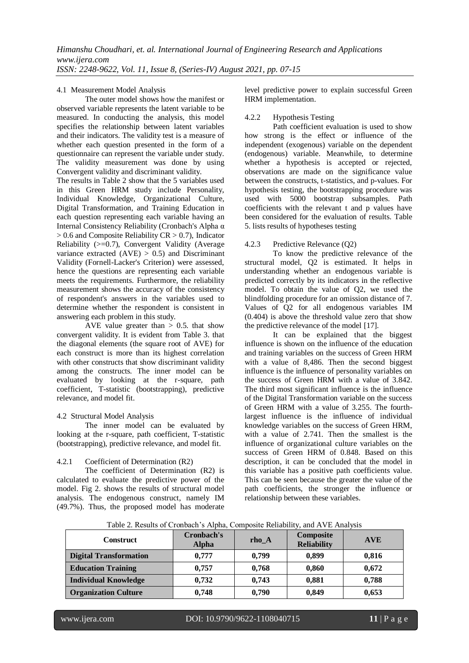#### 4.1 Measurement Model Analysis

The outer model shows how the manifest or observed variable represents the latent variable to be measured. In conducting the analysis, this model specifies the relationship between latent variables and their indicators. The validity test is a measure of whether each question presented in the form of a questionnaire can represent the variable under study. The validity measurement was done by using Convergent validity and discriminant validity.

The results in Table 2 show that the 5 variables used in this Green HRM study include Personality, Individual Knowledge, Organizational Culture, Digital Transformation, and Training Education in each question representing each variable having an Internal Consistency Reliability (Cronbach's Alpha α  $> 0.6$  and Composite Reliability CR  $> 0.7$ ), Indicator Reliability (>=0.7), Convergent Validity (Average variance extracted  $(AVE) > 0.5$ ) and Discriminant Validity (Fornell-Lacker's Criterion) were assessed, hence the questions are representing each variable meets the requirements. Furthermore, the reliability measurement shows the accuracy of the consistency of respondent's answers in the variables used to determine whether the respondent is consistent in answering each problem in this study.

AVE value greater than  $> 0.5$ . that show convergent validity. It is evident from Table 3. that the diagonal elements (the square root of AVE) for each construct is more than its highest correlation with other constructs that show discriminant validity among the constructs. The inner model can be evaluated by looking at the r-square, path coefficient, T-statistic (bootstrapping), predictive relevance, and model fit.

# 4.2 Structural Model Analysis

The inner model can be evaluated by looking at the r-square, path coefficient, T-statistic (bootstrapping), predictive relevance, and model fit.

# 4.2.1 Coefficient of Determination (R2)

The coefficient of Determination (R2) is calculated to evaluate the predictive power of the model. Fig 2. shows the results of structural model analysis. The endogenous construct, namely IM (49.7%). Thus, the proposed model has moderate

level predictive power to explain successful Green HRM implementation.

### 4.2.2 Hypothesis Testing

Path coefficient evaluation is used to show how strong is the effect or influence of the independent (exogenous) variable on the dependent (endogenous) variable. Meanwhile, to determine whether a hypothesis is accepted or rejected, observations are made on the significance value between the constructs, t-statistics, and p-values. For hypothesis testing, the bootstrapping procedure was used with 5000 bootstrap subsamples. Path coefficients with the relevant t and p values have been considered for the evaluation of results. Table 5. lists results of hypotheses testing

### 4.2.3 Predictive Relevance (Q2)

To know the predictive relevance of the structural model, Q2 is estimated. It helps in understanding whether an endogenous variable is predicted correctly by its indicators in the reflective model. To obtain the value of Q2, we used the blindfolding procedure for an omission distance of 7. Values of Q2 for all endogenous variables IM (0.404) is above the threshold value zero that show the predictive relevance of the model [17].

It can be explained that the biggest influence is shown on the influence of the education and training variables on the success of Green HRM with a value of 8,486. Then the second biggest influence is the influence of personality variables on the success of Green HRM with a value of 3.842. The third most significant influence is the influence of the Digital Transformation variable on the success of Green HRM with a value of 3.255. The fourthlargest influence is the influence of individual knowledge variables on the success of Green HRM, with a value of 2.741. Then the smallest is the influence of organizational culture variables on the success of Green HRM of 0.848. Based on this description, it can be concluded that the model in this variable has a positive path coefficients value. This can be seen because the greater the value of the path coefficients, the stronger the influence or relationship between these variables.

Table 2. Results of Cronbach's Alpha, Composite Reliability, and AVE Analysis

| <b>Construct</b>              | Cronbach's<br><b>Alpha</b> | rho A | Composite<br><b>Reliability</b> | <b>AVE</b> |
|-------------------------------|----------------------------|-------|---------------------------------|------------|
| <b>Digital Transformation</b> | 0.777                      | 0,799 | 0.899                           | 0,816      |
| <b>Education Training</b>     | 0.757                      | 0,768 | 0.860                           | 0,672      |
| <b>Individual Knowledge</b>   | 0,732                      | 0.743 | 0.881                           | 0,788      |
| <b>Organization Culture</b>   | 0,748                      | 0.790 | 0,849                           | 0,653      |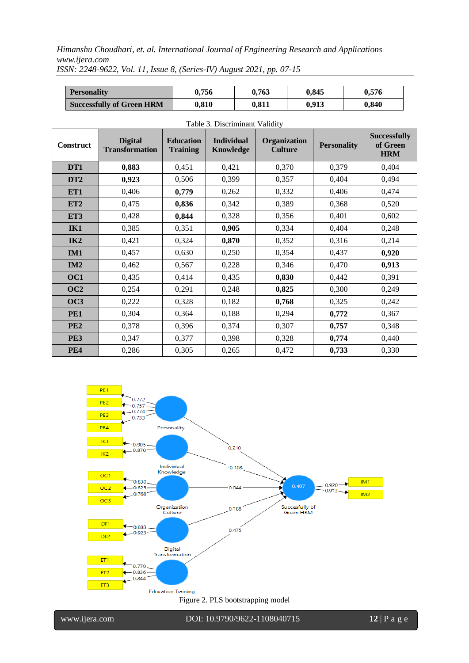| <b>Personality</b>               | 0.756 | 0.763 | 0.845 | 0.576 |
|----------------------------------|-------|-------|-------|-------|
| <b>Successfully of Green HRM</b> | 0.810 | 0.811 | 0.913 | 0.840 |

| $1 \text{ and } 3$ . Dhoch infinition $\sqrt{2}$ |                                         |                                     |                                       |                                       |                    |                                               |
|--------------------------------------------------|-----------------------------------------|-------------------------------------|---------------------------------------|---------------------------------------|--------------------|-----------------------------------------------|
| <b>Construct</b>                                 | <b>Digital</b><br><b>Transformation</b> | <b>Education</b><br><b>Training</b> | <b>Individual</b><br><b>Knowledge</b> | <b>Organization</b><br><b>Culture</b> | <b>Personality</b> | <b>Successfully</b><br>of Green<br><b>HRM</b> |
| DT1                                              | 0,883                                   | 0,451                               | 0,421                                 | 0,370                                 | 0,379              | 0,404                                         |
| DT <sub>2</sub>                                  | 0,923                                   | 0,506                               | 0,399                                 | 0,357                                 | 0,404              | 0,494                                         |
| ET1                                              | 0,406                                   | 0,779                               | 0,262                                 | 0,332                                 | 0,406              | 0,474                                         |
| ET <sub>2</sub>                                  | 0,475                                   | 0,836                               | 0,342                                 | 0,389                                 | 0,368              | 0,520                                         |
| ET3                                              | 0,428                                   | 0,844                               | 0,328                                 | 0,356                                 | 0,401              | 0,602                                         |
| IK1                                              | 0,385                                   | 0,351                               | 0,905                                 | 0,334                                 | 0,404              | 0,248                                         |
| IK2                                              | 0,421                                   | 0,324                               | 0,870                                 | 0,352                                 | 0,316              | 0,214                                         |
| IM1                                              | 0,457                                   | 0,630                               | 0,250                                 | 0,354                                 | 0,437              | 0,920                                         |
| IM2                                              | 0,462                                   | 0,567                               | 0,228                                 | 0,346                                 | 0,470              | 0,913                                         |
| OC1                                              | 0,435                                   | 0,414                               | 0,435                                 | 0,830                                 | 0,442              | 0,391                                         |
| OC2                                              | 0,254                                   | 0,291                               | 0,248                                 | 0,825                                 | 0,300              | 0,249                                         |
| OC3                                              | 0,222                                   | 0,328                               | 0,182                                 | 0,768                                 | 0,325              | 0,242                                         |
| PE1                                              | 0,304                                   | 0,364                               | 0,188                                 | 0,294                                 | 0,772              | 0,367                                         |
| PE <sub>2</sub>                                  | 0,378                                   | 0,396                               | 0,374                                 | 0,307                                 | 0,757              | 0,348                                         |
| PE3                                              | 0,347                                   | 0,377                               | 0,398                                 | 0,328                                 | 0,774              | 0,440                                         |
| <b>PE4</b>                                       | 0,286                                   | 0,305                               | 0,265                                 | 0,472                                 | 0,733              | 0,330                                         |





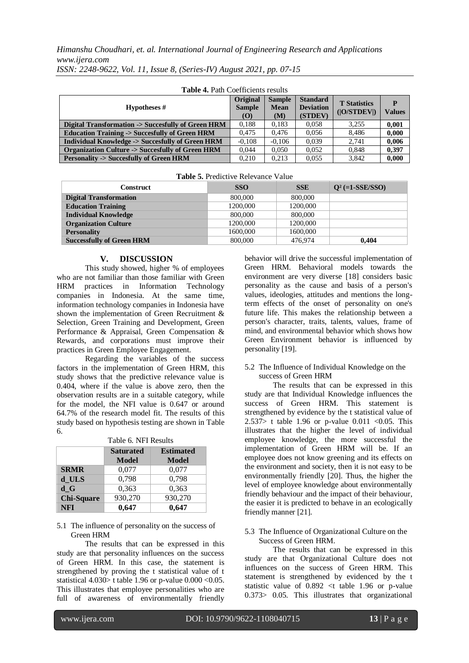| <b>Table 4. Path Coefficients results</b>                  |                                  |                                     |                                                |                                    |                    |  |
|------------------------------------------------------------|----------------------------------|-------------------------------------|------------------------------------------------|------------------------------------|--------------------|--|
| Hypotheses #                                               | Original<br><b>Sample</b><br>(O) | <b>Sample</b><br><b>Mean</b><br>(M) | <b>Standard</b><br><b>Deviation</b><br>(STDEV) | <b>T</b> Statistics<br>( O/STDEV ) | P<br><b>Values</b> |  |
| Digital Transformation -> Succesfully of Green HRM         | 0.188                            | 0.183                               | 0.058                                          | 3.255                              | 0.001              |  |
| <b>Education Training -&gt; Succesfully of Green HRM</b>   | 0.475                            | 0.476                               | 0.056                                          | 8.486                              | 0,000              |  |
| Individual Knowledge -> Succesfully of Green HRM           | $-0.108$                         | $-0.106$                            | 0.039                                          | 2.741                              | 0,006              |  |
| <b>Organization Culture -&gt; Succesfully of Green HRM</b> | 0.044                            | 0.050                               | 0.052                                          | 0.848                              | 0.397              |  |
| <b>Personality -&gt; Succesfully of Green HRM</b>          | 0.210                            | 0.213                               | 0.055                                          | 3.842                              | 0.000              |  |

| <b>Table 5.</b> Predictive Relevance Value |            |            |                    |  |  |
|--------------------------------------------|------------|------------|--------------------|--|--|
| <b>Construct</b>                           | <b>SSO</b> | <b>SSE</b> | $Q^2$ (=1-SSE/SSO) |  |  |
| <b>Digital Transformation</b>              | 800,000    | 800,000    |                    |  |  |
| <b>Education Training</b>                  | 1200,000   | 1200,000   |                    |  |  |
| <b>Individual Knowledge</b>                | 800,000    | 800,000    |                    |  |  |
| <b>Organization Culture</b>                | 1200,000   | 1200,000   |                    |  |  |
| <b>Personality</b>                         | 1600,000   | 1600,000   |                    |  |  |
| <b>Successfully of Green HRM</b>           | 800,000    | 476,974    | 0.404              |  |  |

#### **Table 5.** Predictive Relevance Value

#### **V. DISCUSSION**

This study showed, higher % of employees who are not familiar than those familiar with Green HRM practices in Information Technology companies in Indonesia. At the same time, information technology companies in Indonesia have shown the implementation of Green Recruitment & Selection, Green Training and Development, Green Performance & Appraisal, Green Compensation & Rewards, and corporations must improve their practices in Green Employee Engagement.

Regarding the variables of the success factors in the implementation of Green HRM, this study shows that the predictive relevance value is 0.404, where if the value is above zero, then the observation results are in a suitable category, while for the model, the NFI value is 0.647 or around 64.7% of the research model fit. The results of this study based on hypothesis testing are shown in Table 6.

Table 6. NFI Results

|                   | <b>Saturated</b><br><b>Model</b> | <b>Estimated</b><br><b>Model</b> |
|-------------------|----------------------------------|----------------------------------|
| <b>SRMR</b>       | 0,077                            | 0,077                            |
| d ULS             | 0,798                            | 0,798                            |
| d G               | 0,363                            | 0,363                            |
| <b>Chi-Square</b> | 930,270                          | 930,270                          |
| <b>NFI</b>        | 0.647                            | 0.647                            |

#### 5.1 The influence of personality on the success of Green HRM

The results that can be expressed in this study are that personality influences on the success of Green HRM. In this case, the statement is strengthened by proving the t statistical value of t statistical  $4.030$  t table 1.96 or p-value  $0.000 < 0.05$ . This illustrates that employee personalities who are full of awareness of environmentally friendly

behavior will drive the successful implementation of Green HRM. Behavioral models towards the environment are very diverse [18] considers basic personality as the cause and basis of a person's values, ideologies, attitudes and mentions the longterm effects of the onset of personality on one's future life. This makes the relationship between a person's character, traits, talents, values, frame of mind, and environmental behavior which shows how Green Environment behavior is influenced by personality [19].

#### 5.2 The Influence of Individual Knowledge on the success of Green HRM

The results that can be expressed in this study are that Individual Knowledge influences the success of Green HRM. This statement is strengthened by evidence by the t statistical value of 2.537> t table 1.96 or p-value 0.011 < 0.05. This illustrates that the higher the level of individual employee knowledge, the more successful the implementation of Green HRM will be. If an employee does not know greening and its effects on the environment and society, then it is not easy to be environmentally friendly [20]. Thus, the higher the level of employee knowledge about environmentally friendly behaviour and the impact of their behaviour, the easier it is predicted to behave in an ecologically friendly manner [21].

#### 5.3 The Influence of Organizational Culture on the Success of Green HRM.

The results that can be expressed in this study are that Organizational Culture does not influences on the success of Green HRM. This statement is strengthened by evidenced by the t statistic value of 0.892 <t table 1.96 or p-value 0.373> 0.05. This illustrates that organizational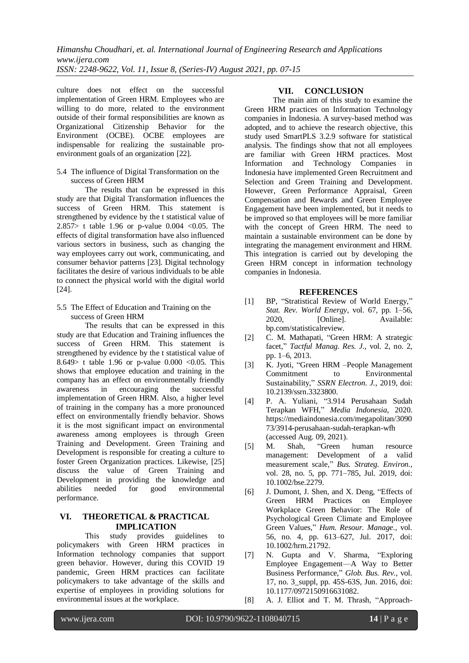culture does not effect on the successful implementation of Green HRM. Employees who are willing to do more, related to the environment outside of their formal responsibilities are known as Organizational Citizenship Behavior for the Environment (OCBE). OCBE employees are indispensable for realizing the sustainable proenvironment goals of an organization [22].

5.4 The influence of Digital Transformation on the success of Green HRM

The results that can be expressed in this study are that Digital Transformation influences the success of Green HRM. This statement is strengthened by evidence by the t statistical value of 2.857> t table 1.96 or p-value 0.004 <0.05. The effects of digital transformation have also influenced various sectors in business, such as changing the way employees carry out work, communicating, and consumer behavior patterns [23]. Digital technology facilitates the desire of various individuals to be able to connect the physical world with the digital world [24].

5.5 The Effect of Education and Training on the success of Green HRM

The results that can be expressed in this study are that Education and Training influences the success of Green HRM. This statement is strengthened by evidence by the t statistical value of 8.649> t table 1.96 or p-value  $0.000 < 0.05$ . This shows that employee education and training in the company has an effect on environmentally friendly awareness in encouraging the successful implementation of Green HRM. Also, a higher level of training in the company has a more pronounced effect on environmentally friendly behavior. Shows it is the most significant impact on environmental awareness among employees is through Green Training and Development. Green Training and Development is responsible for creating a culture to foster Green Organization practices. Likewise, [25] discuss the value of Green Training and Development in providing the knowledge and abilities needed for good environmental performance.

### **VI. THEORETICAL & PRACTICAL IMPLICATION**

This study provides guidelines to policymakers with Green HRM practices in Information technology companies that support green behavior. However, during this COVID 19 pandemic, Green HRM practices can facilitate policymakers to take advantage of the skills and expertise of employees in providing solutions for environmental issues at the workplace.

# **VII. CONCLUSION**

The main aim of this study to examine the Green HRM practices on Information Technology companies in Indonesia. A survey-based method was adopted, and to achieve the research objective, this study used SmartPLS 3.2.9 software for statistical analysis. The findings show that not all employees are familiar with Green HRM practices. Most Information and Technology Companies in Indonesia have implemented Green Recruitment and Selection and Green Training and Development. However, Green Performance Appraisal, Green Compensation and Rewards and Green Employee Engagement have been implemented, but it needs to be improved so that employees will be more familiar with the concept of Green HRM. The need to maintain a sustainable environment can be done by integrating the management environment and HRM. This integration is carried out by developing the Green HRM concept in information technology companies in Indonesia.

# **REFERENCES**

- [1] BP, "Stratistical Review of World Energy," *Stat. Rev. World Energy*, vol. 67, pp. 1–56, 2020, [Online]. Available: bp.com/statisticalreview.
- [2] C. M. Mathapati, "Green HRM: A strategic facet," *Tactful Manag. Res. J.*, vol. 2, no. 2, pp. 1–6, 2013.
- [3] K. Jyoti, "Green HRM –People Management Commitment to Environmental Sustainability," *SSRN Electron. J.*, 2019, doi: 10.2139/ssrn.3323800.
- [4] P. A. Yuliani, "3.914 Perusahaan Sudah Terapkan WFH," *Media Indonesia*, 2020. https://mediaindonesia.com/megapolitan/3090 73/3914-perusahaan-sudah-terapkan-wfh (accessed Aug. 09, 2021).
- [5] M. Shah, "Green human resource management: Development of a valid measurement scale," *Bus. Strateg. Environ.*, vol. 28, no. 5, pp. 771–785, Jul. 2019, doi: 10.1002/bse.2279.
- [6] J. Dumont, J. Shen, and X. Deng, "Effects of Green HRM Practices on Employee Workplace Green Behavior: The Role of Psychological Green Climate and Employee Green Values," *Hum. Resour. Manage.*, vol. 56, no. 4, pp. 613–627, Jul. 2017, doi: 10.1002/hrm.21792.
- [7] N. Gupta and V. Sharma, "Exploring Employee Engagement—A Way to Better Business Performance," *Glob. Bus. Rev.*, vol. 17, no. 3\_suppl, pp. 45S-63S, Jun. 2016, doi: 10.1177/0972150916631082.
- [8] A. J. Elliot and T. M. Thrash, "Approach-